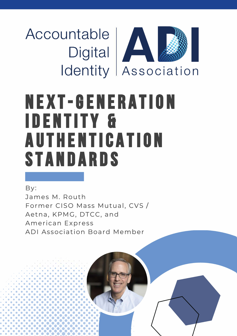Accountable<br>Digital Identity Association

# **NEXT-GENERATION IDENTITY & AUTHENTICATION** STANDARDS

By: James M. Routh Former CISO Mass Mutual, CVS / Aetna, KPMG, DTCC, and American Express ADI Association Board Member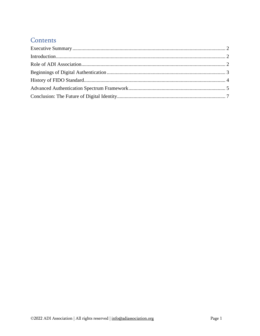## Contents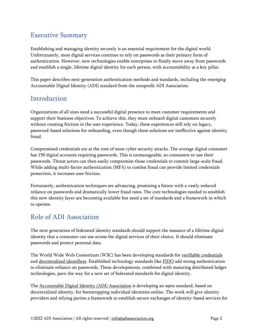# <span id="page-2-0"></span>Executive Summary

Establishing and managing identity securely is an essential requirement for the digital world. Unfortunately, most digital services continue to rely on passwords as their primary form of authentication. However, new technologies enable enterprises to finally move away from passwords and establish a single, lifetime digital identity for each person, with accountability as a key pillar.

This paper describes next-generation authentication methods and standards, including the emerging Accountable Digital Identity (ADI) standard from the nonprofit ADI Association.

## <span id="page-2-1"></span>Introduction

Organizations of all sizes need a successful digital presence to meet customer requirements and support their business objectives. To achieve this, they must onboard digital customers securely without creating friction in the user experience. Today, these experiences still rely on legacy, password-based solutions for onboarding, even though these solutions are ineffective against identity fraud.

Compromised credentials are at the root of most cyber security attacks. The average digital consumer has 150 digital accounts requiring passwords. This is unmanageable, so consumers re-use their passwords. Threat actors can then easily compromise those credentials to commit large-scale fraud. While adding multi-factor authentication (MFA) to combat fraud can provide limited credentials protection, it increases user friction.

Fortunately, authentication techniques are advancing, promising a future with a vastly reduced reliance on passwords and dramatically lower fraud rates. The core technologies needed to establish this new identity layer are becoming available but need a set of standards and a framework in which to operate.

## <span id="page-2-2"></span>Role of ADI Association

The next generation of federated identity standards should support the issuance of a lifetime digital identity that a consumer can use across the digital services of their choice. It should eliminate passwords and protect personal data.

The World Wide Web Consortium (W3C) has been developing standards for verifiable [credentials](https://www.w3.org/TR/vc-data-model/) and [decentralized](https://www.w3.org/TR/did-core/) identifiers. Established technology standards like [FIDO](https://fidoalliance.org/overview/) add strong authentication to eliminate reliance on passwords. These developments, combined with maturing distributed ledger technologies, pave the way for a new set of federated standards for digital identity.

The [Accountable](https://adiassociation.org/) Digital Identity (ADI) Association is developing an open standard, based on decentralized identity, for bootstrapping individual identities online. The work will give identity providers and relying parties a framework to establish secure exchanges of identity-based services for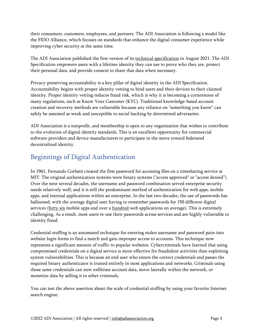their consumers, customers, employees, and partners. The ADI Association is following a model like the FIDO Alliance, which focuses on standards that enhance the digital consumer experience while improving cyber security at the same time.

The ADI Association published the first version of its technical [specification](https://adiassociation.github.io/ADIA-specification/ADIA-overview.html) in August 2021. The ADI Specification empowers users with a lifetime identity they can use to prove who they are, protect their personal data, and provide consent to share that data when necessary.

Privacy-preserving accountability is a key pillar of digital identity in the ADI Specification. Accountability begins with proper identity vetting to bind users and their devices to their claimed identity. Proper identity vetting reduces fraud risk, which is why it is becoming a cornerstone of many regulations, such as Know Your Customer (KYC). Traditional knowledge-based account creation and recovery methods are vulnerable because any reliance on "something you know" can safely be assumed as weak and susceptible to social hacking by determined adversaries.

ADI Association is a nonprofit, and membership is open to any organization that wishes to contribute to the evolution of digital identity standards. This is an excellent opportunity for commercial software providers and device manufacturers to participate in the move toward federated decentralized identity.

# <span id="page-3-0"></span>Beginnings of Digital Authentication

In 1961, Fernando Corbató created the first password for accessing files on a timesharing service at MIT. The original authentication systems were binary systems ("access approved" or "access denied"). Over the next several decades, the username and password combination served enterprise security needs relatively well, and it is still the predominant method of authentication for web apps, mobile apps, and internal applications within an enterprise. In the last two decades, the use of passwords has ballooned, with the average digital user having to remember passwords for 150 different digital services [\(forty-six](https://sensortower.com/blog/apps-used-per-us-smartphone) mobile apps and over a [hundred](https://tech.co/password-managers/how-many-passwords-average-person) web applications on average). This is extremely challenging. As a result, most users re-use their passwords across services and are highly vulnerable to identity fraud.

Credential stuffing is an automated technique for entering stolen username and password pairs into website login forms to find a match and gain improper access to accounts. This technique now represents a significant amount of traffic to popular websites. Cybercriminals have learned that using compromised credentials on a digital service is more effective for fraudulent activities than exploiting system vulnerabilities. This is because an end user who enters the correct credentials and passes the required binary authenticator is trusted entirely in most applications and networks. Criminals using those same credentials can now exfiltrate account data, move laterally within the network, or monetize data by selling it to other criminals.

You can test the above assertion about the scale of credential stuffing by using your favorite Internet search engine: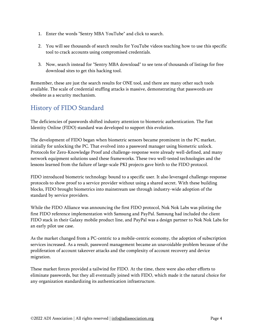- 1. Enter the words "Sentry MBA YouTube" and click to search.
- 2. You will see thousands of search results for YouTube videos teaching how to use this specific tool to crack accounts using compromised credentials.
- 3. Now, search instead for "Sentry MBA download" to see tens of thousands of listings for free download sites to get this hacking tool.

Remember, these are just the search results for ONE tool, and there are many other such tools available. The scale of credential stuffing attacks is massive, demonstrating that passwords are obsolete as a security mechanism.

## <span id="page-4-0"></span>History of FIDO Standard

The deficiencies of passwords shifted industry attention to biometric authentication. The Fast Identity Online (FIDO) standard was developed to support this evolution.

The development of FIDO began when biometric sensors became prominent in the PC market, initially for unlocking the PC. That evolved into a password manager using biometric unlock. Protocols for Zero-Knowledge Proof and challenge-response were already well-defined, and many network equipment solutions used these frameworks. These two well-tested technologies and the lessons learned from the failure of large-scale PKI projects gave birth to the FIDO protocol.

FIDO introduced biometric technology bound to a specific user. It also leveraged challenge-response protocols to show proof to a service provider without using a shared secret. With these building blocks, FIDO brought biometrics into mainstream use through industry-wide adoption of the standard by service providers.

While the FIDO Alliance was announcing the first FIDO protocol, Nok Nok Labs was piloting the first FIDO reference implementation with Samsung and PayPal. Samsung had included the client FIDO stack in their Galaxy mobile product line, and PayPal was a design partner to Nok Nok Labs for an early pilot use case.

As the market changed from a PC-centric to a mobile-centric economy, the adoption of subscription services increased. As a result, password management became an unavoidable problem because of the proliferation of account takeover attacks and the complexity of account recovery and device migration.

These market forces provided a tailwind for FIDO. At the time, there were also other efforts to eliminate passwords, but they all eventually joined with FIDO, which made it the natural choice for any organization standardizing its authentication infrastructure.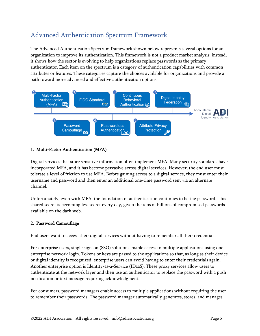# <span id="page-5-0"></span>Advanced Authentication Spectrum Framework

The Advanced Authentication Spectrum framework shown below represents several options for an organization to improve its authentication. This framework is not a product market analysis; instead, it shows how the sector is evolving to help organizations replace passwords as the primary authenticator. Each item on the spectrum is a category of authentication capabilities with common attributes or features. These categories capture the choices available for organizations and provide a path toward more advanced and effective authentication options.



#### 1. Multi-Factor Authentication (MFA)

Digital services that store sensitive information often implement MFA. Many security standards have incorporated MFA, and it has become pervasive across digital services. However, the end user must tolerate a level of friction to use MFA. Before gaining access to a digital service, they must enter their username and password and then enter an additional one-time password sent via an alternate channel.

Unfortunately, even with MFA, the foundation of authentication continues to be the password. This shared secret is becoming less secret every day, given the tens of billions of compromised passwords available on the dark web.

#### 2. Password Camouflage

End users want to access their digital services without having to remember all their credentials.

For enterprise users, single sign-on (SSO) solutions enable access to multiple applications using one enterprise network login. Tokens or keys are passed to the applications so that, as long as their device or digital identity is recognized, enterprise users can avoid having to enter their credentials again. Another enterprise option is Identity-as-a-Service (IDaaS). These proxy services allow users to authenticate at the network layer and then use an authenticator to replace the password with a push notification or text message requiring acknowledgment.

For consumers, password managers enable access to multiple applications without requiring the user to remember their passwords. The password manager automatically generates, stores, and manages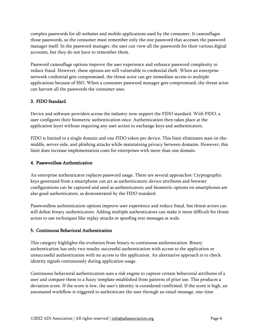complex passwords for all websites and mobile applications used by the consumer. It camouflages those passwords, so the consumer must remember only the one password that accesses the password manager itself. In the password manager, the user can view all the passwords for their various digital accounts, but they do not have to remember them.

Password camouflage options improve the user experience and enhance password complexity to reduce fraud. However, these options are still vulnerable to credential theft. When an enterprise network credential gets compromised, the threat actor can get immediate access to multiple applications because of SSO. When a consumer password manager gets compromised, the threat actor can harvest all the passwords the consumer uses.

#### 3. FIDO Standard

Device and software providers across the industry now support the FIDO standard. With FIDO, a user configures their biometric authentication once. Authentication then takes place at the application layer without requiring any user action to exchange keys and authenticators.

FIDO is limited to a single domain and one FIDO token per device. This limit eliminates man-in-themiddle, server-side, and phishing attacks while maintaining privacy between domains. However, this limit does increase implementation costs for enterprises with more than one domain.

#### 4. Passwordless Authentication

An enterprise authenticator replaces password usage. There are several approaches: Cryptographic keys generated from a smartphone can act as authenticators; device attributes and browser configurations can be captured and used as authenticators; and biometric options on smartphones are also good authenticators, as demonstrated by the FIDO standard.

Passwordless authentication options improve user experience and reduce fraud, but threat actors can still defeat binary authenticators. Adding multiple authenticators can make it more difficult for threat actors to use techniques like replay attacks or spoofing text messages at scale.

#### 5. Continuous Behavioral Authentication

This category highlights the evolution from binary to continuous authentication. Binary authentication has only two results: successful authentication with access to the application or unsuccessful authentication with no access to the application. An alternative approach is to check identity signals continuously during application usage.

Continuous behavioral authentication uses a risk engine to capture certain behavioral attributes of a user and compare them to a fuzzy template established from patterns of prior use. This produces a deviation score. If the score is low, the user's identity is considered confirmed. If the score is high, an automated workflow is triggered to authenticate the user through an email message, one-time